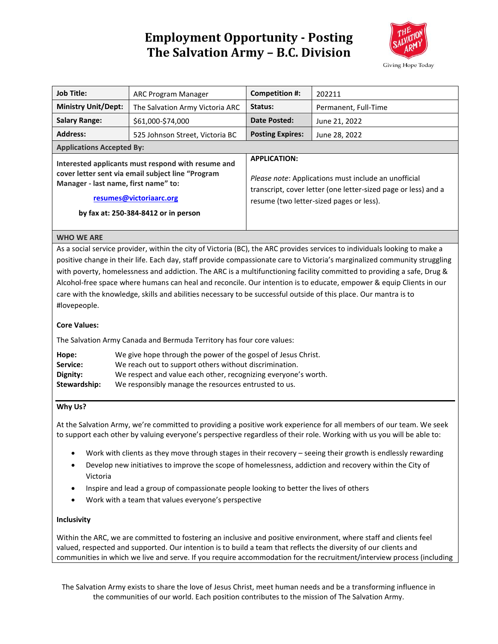

| <b>Job Title:</b>                                                                                                                                                                                                                                                                                                                                                                                                                                                                                              | ARC Program Manager             | <b>Competition #:</b>                                                                                                                                                                     | 202211               |
|----------------------------------------------------------------------------------------------------------------------------------------------------------------------------------------------------------------------------------------------------------------------------------------------------------------------------------------------------------------------------------------------------------------------------------------------------------------------------------------------------------------|---------------------------------|-------------------------------------------------------------------------------------------------------------------------------------------------------------------------------------------|----------------------|
| <b>Ministry Unit/Dept:</b>                                                                                                                                                                                                                                                                                                                                                                                                                                                                                     | The Salvation Army Victoria ARC | Status:                                                                                                                                                                                   | Permanent, Full-Time |
| <b>Salary Range:</b>                                                                                                                                                                                                                                                                                                                                                                                                                                                                                           | \$61,000-\$74,000               | <b>Date Posted:</b>                                                                                                                                                                       | June 21, 2022        |
| <b>Address:</b>                                                                                                                                                                                                                                                                                                                                                                                                                                                                                                | 525 Johnson Street, Victoria BC | <b>Posting Expires:</b>                                                                                                                                                                   | June 28, 2022        |
| <b>Applications Accepted By:</b>                                                                                                                                                                                                                                                                                                                                                                                                                                                                               |                                 |                                                                                                                                                                                           |                      |
| Interested applicants must respond with resume and<br>cover letter sent via email subject line "Program<br>Manager - last name, first name" to:<br>resumes@victoriaarc.org<br>by fax at: 250-384-8412 or in person                                                                                                                                                                                                                                                                                             |                                 | <b>APPLICATION:</b><br>Please note: Applications must include an unofficial<br>transcript, cover letter (one letter-sized page or less) and a<br>resume (two letter-sized pages or less). |                      |
| <b>WHO WE ARE</b>                                                                                                                                                                                                                                                                                                                                                                                                                                                                                              |                                 |                                                                                                                                                                                           |                      |
| positive change in their life. Each day, staff provide compassionate care to Victoria's marginalized community struggling<br>with poverty, homelessness and addiction. The ARC is a multifunctioning facility committed to providing a safe, Drug &<br>Alcohol-free space where humans can heal and reconcile. Our intention is to educate, empower & equip Clients in our<br>care with the knowledge, skills and abilities necessary to be successful outside of this place. Our mantra is to<br>#lovepeople. |                                 |                                                                                                                                                                                           |                      |
| <b>Core Values:</b>                                                                                                                                                                                                                                                                                                                                                                                                                                                                                            |                                 |                                                                                                                                                                                           |                      |
| The Salvation Army Canada and Bermuda Territory has four core values:                                                                                                                                                                                                                                                                                                                                                                                                                                          |                                 |                                                                                                                                                                                           |                      |
| We give hope through the power of the gospel of Jesus Christ.<br>Hope:<br>We reach out to support others without discrimination.<br>Service:<br>Dignity:<br>We respect and value each other, recognizing everyone's worth.<br>Stewardship:<br>We responsibly manage the resources entrusted to us.                                                                                                                                                                                                             |                                 |                                                                                                                                                                                           |                      |
| Why Us?                                                                                                                                                                                                                                                                                                                                                                                                                                                                                                        |                                 |                                                                                                                                                                                           |                      |
| At the Salvation Army, we're committed to providing a positive work experience for all members of our team. We seek<br>to support each other by valuing everyone's perspective regardless of their role. Working with us you will be able to:                                                                                                                                                                                                                                                                  |                                 |                                                                                                                                                                                           |                      |
| Work with clients as they move through stages in their recovery - seeing their growth is endlessly rewarding<br>Develop new initiatives to improve the scone of homelessness, addiction and recovery within the City of                                                                                                                                                                                                                                                                                        |                                 |                                                                                                                                                                                           |                      |

- Develop new initiatives to improve the scope of homelessness, addiction and recovery within the City of Victoria
- Inspire and lead a group of compassionate people looking to better the lives of others
- Work with a team that values everyone's perspective

## **Inclusivity**

Within the ARC, we are committed to fostering an inclusive and positive environment, where staff and clients feel valued, respected and supported. Our intention is to build a team that reflects the diversity of our clients and communities in which we live and serve. If you require accommodation for the recruitment/interview process (including

The Salvation Army exists to share the love of Jesus Christ, meet human needs and be a transforming influence in the communities of our world. Each position contributes to the mission of The Salvation Army.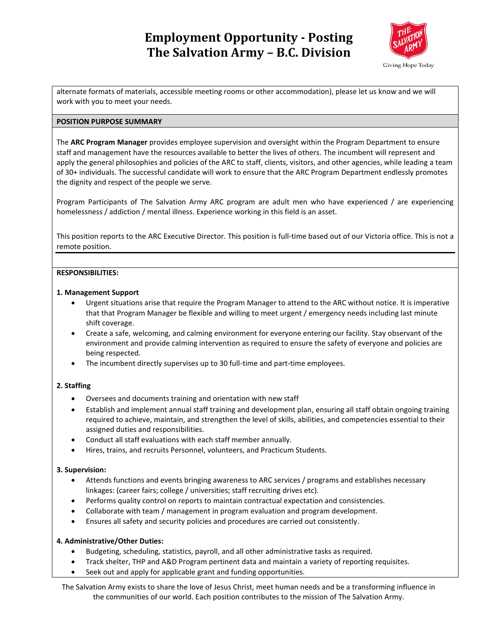

alternate formats of materials, accessible meeting rooms or other accommodation), please let us know and we will work with you to meet your needs.

### **POSITION PURPOSE SUMMARY**

The **ARC Program Manager** provides employee supervision and oversight within the Program Department to ensure staff and management have the resources available to better the lives of others. The incumbent will represent and apply the general philosophies and policies of the ARC to staff, clients, visitors, and other agencies, while leading a team of 30+ individuals. The successful candidate will work to ensure that the ARC Program Department endlessly promotes the dignity and respect of the people we serve.

Program Participants of The Salvation Army ARC program are adult men who have experienced / are experiencing homelessness / addiction / mental illness. Experience working in this field is an asset.

This position reports to the ARC Executive Director. This position is full-time based out of our Victoria office. This is not a remote position.

### **RESPONSIBILITIES:**

### **1. Management Support**

- Urgent situations arise that require the Program Manager to attend to the ARC without notice. It is imperative that that Program Manager be flexible and willing to meet urgent / emergency needs including last minute shift coverage.
- Create a safe, welcoming, and calming environment for everyone entering our facility. Stay observant of the environment and provide calming intervention as required to ensure the safety of everyone and policies are being respected.
- The incumbent directly supervises up to 30 full-time and part-time employees.

## **2. Staffing**

- Oversees and documents training and orientation with new staff
- Establish and implement annual staff training and development plan, ensuring all staff obtain ongoing training required to achieve, maintain, and strengthen the level of skills, abilities, and competencies essential to their assigned duties and responsibilities.
- Conduct all staff evaluations with each staff member annually.
- Hires, trains, and recruits Personnel, volunteers, and Practicum Students.

### **3. Supervision:**

- Attends functions and events bringing awareness to ARC services / programs and establishes necessary linkages: (career fairs; college / universities; staff recruiting drives etc).
- Performs quality control on reports to maintain contractual expectation and consistencies.
- Collaborate with team / management in program evaluation and program development.
- Ensures all safety and security policies and procedures are carried out consistently.

### **4. Administrative/Other Duties:**

- Budgeting, scheduling, statistics, payroll, and all other administrative tasks as required.
- Track shelter, THP and A&D Program pertinent data and maintain a variety of reporting requisites.
- Seek out and apply for applicable grant and funding opportunities.

The Salvation Army exists to share the love of Jesus Christ, meet human needs and be a transforming influence in the communities of our world. Each position contributes to the mission of The Salvation Army.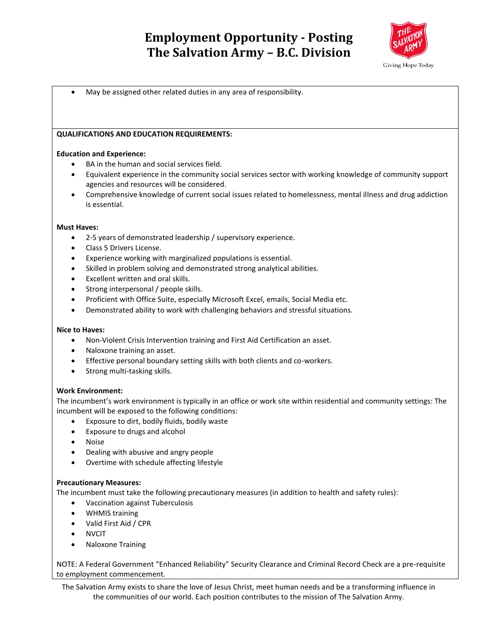

• May be assigned other related duties in any area of responsibility.

### **QUALIFICATIONS AND EDUCATION REQUIREMENTS:**

### **Education and Experience:**

- BA in the human and social services field.
- Equivalent experience in the community social services sector with working knowledge of community support agencies and resources will be considered.
- Comprehensive knowledge of current social issues related to homelessness, mental illness and drug addiction is essential.

#### **Must Haves:**

- 2-5 years of demonstrated leadership / supervisory experience.
- Class 5 Drivers License.
- Experience working with marginalized populations is essential.
- Skilled in problem solving and demonstrated strong analytical abilities.
- Excellent written and oral skills.
- Strong interpersonal / people skills.
- Proficient with Office Suite, especially Microsoft Excel, emails, Social Media etc.
- Demonstrated ability to work with challenging behaviors and stressful situations.

#### **Nice to Haves:**

- Non-Violent Crisis Intervention training and First Aid Certification an asset.
- Naloxone training an asset.
- Effective personal boundary setting skills with both clients and co-workers.
- Strong multi-tasking skills.

#### **Work Environment:**

The incumbent's work environment is typically in an office or work site within residential and community settings: The incumbent will be exposed to the following conditions:

- Exposure to dirt, bodily fluids, bodily waste
- Exposure to drugs and alcohol
- Noise
- Dealing with abusive and angry people
- Overtime with schedule affecting lifestyle

#### **Precautionary Measures:**

The incumbent must take the following precautionary measures (in addition to health and safety rules):

- Vaccination against Tuberculosis
- WHMIS training
- Valid First Aid / CPR
- NVCIT
- Naloxone Training

NOTE: A Federal Government "Enhanced Reliability" Security Clearance and Criminal Record Check are a pre-requisite to employment commencement.

The Salvation Army exists to share the love of Jesus Christ, meet human needs and be a transforming influence in the communities of our world. Each position contributes to the mission of The Salvation Army.